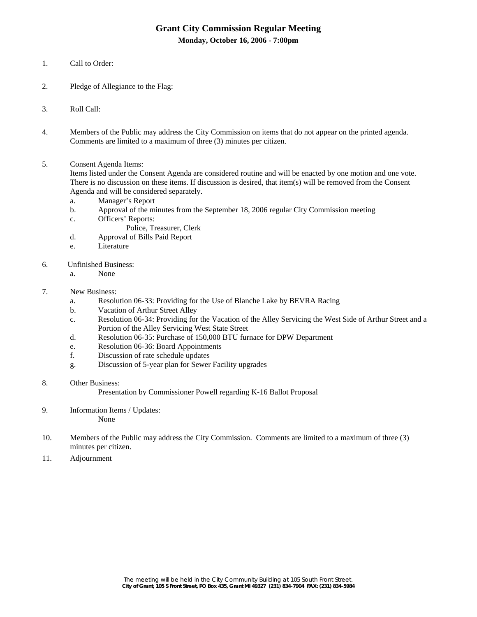# **Grant City Commission Regular Meeting**

**Monday, October 16, 2006 - 7:00pm** 

- 1. Call to Order:
- 2. Pledge of Allegiance to the Flag:
- 3. Roll Call:
- 4. Members of the Public may address the City Commission on items that do not appear on the printed agenda. Comments are limited to a maximum of three (3) minutes per citizen.
- 5. Consent Agenda Items:

Items listed under the Consent Agenda are considered routine and will be enacted by one motion and one vote. There is no discussion on these items. If discussion is desired, that item(s) will be removed from the Consent Agenda and will be considered separately.

- a. Manager's Report
- b. Approval of the minutes from the September 18, 2006 regular City Commission meeting
- c. Officers' Reports:
	- Police, Treasurer, Clerk
- d. Approval of Bills Paid Report
- e. Literature
- 6. Unfinished Business:
	- a. None
- 7. New Business:
	- a. Resolution 06-33: Providing for the Use of Blanche Lake by BEVRA Racing
	- b. Vacation of Arthur Street Alley
	- c. Resolution 06-34: Providing for the Vacation of the Alley Servicing the West Side of Arthur Street and a Portion of the Alley Servicing West State Street
	- d. Resolution 06-35: Purchase of 150,000 BTU furnace for DPW Department
	- e. Resolution 06-36: Board Appointments
	- f. Discussion of rate schedule updates
	- g. Discussion of 5-year plan for Sewer Facility upgrades
- 8. Other Business:
	- Presentation by Commissioner Powell regarding K-16 Ballot Proposal
- 9. Information Items / Updates: None
- 10. Members of the Public may address the City Commission. Comments are limited to a maximum of three (3) minutes per citizen.
- 11. Adjournment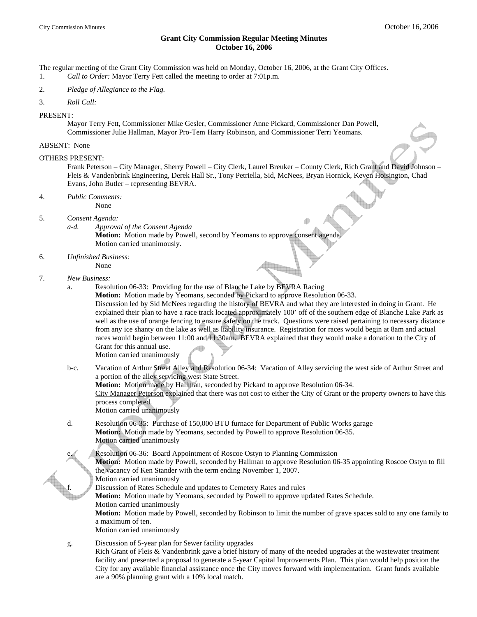## **Grant City Commission Regular Meeting Minutes October 16, 2006**

The regular meeting of the Grant City Commission was held on Monday, October 16, 2006, at the Grant City Offices. 1. *Call to Order:* Mayor Terry Fett called the meeting to order at 7:01p.m.

- 2. *Pledge of Allegiance to the Flag.*
- 3. *Roll Call:*
- PRESENT:

 Mayor Terry Fett, Commissioner Mike Gesler, Commissioner Anne Pickard, Commissioner Dan Powell, Commissioner Julie Hallman, Mayor Pro-Tem Harry Robinson, and Commissioner Terri Yeomans.

#### ABSENT: None

#### OTHERS PRESENT:

 Frank Peterson – City Manager, Sherry Powell – City Clerk, Laurel Breuker – County Clerk, Rich Grant and David Johnson – Fleis & Vandenbrink Engineering, Derek Hall Sr., Tony Petriella, Sid, McNees, Bryan Hornick, Keven Hoisington, Chad Evans, John Butler – representing BEVRA.

4. *Public Comments:*

None

None

- 5. C*onsent Agenda:*
	- *a-d. Approval of the Consent Agenda*

**Motion:** Motion made by Powell, second by Yeomans to approve consent agenda. Motion carried unanimously.

- 6. *Unfinished Business:*
- 7. *New Business:* 
	- a. Resolution 06-33: Providing for the use of Blanche Lake by BEVRA Racing

 **Motion:** Motion made by Yeomans, seconded by Pickard to approve Resolution 06-33. Discussion led by Sid McNees regarding the history of BEVRA and what they are interested in doing in Grant. He explained their plan to have a race track located approximately 100' off of the southern edge of Blanche Lake Park as well as the use of orange fencing to ensure safety on the track. Questions were raised pertaining to necessary distance from any ice shanty on the lake as well as liability insurance. Registration for races would begin at 8am and actual races would begin between 11:00 and 11:30am. BEVRA explained that they would make a donation to the City of Grant for this annual use.

Motion carried unanimously

- b-c. Vacation of Arthur Street Alley and Resolution 06-34: Vacation of Alley servicing the west side of Arthur Street and a portion of the alley servicing west State Street. **Motion:** Motion made by Hallman, seconded by Pickard to approve Resolution 06-34. City Manager Peterson explained that there was not cost to either the City of Grant or the property owners to have this process completed. Motion carried unanimously
- d. Resolution 06-35: Purchase of 150,000 BTU furnace for Department of Public Works garage **Motion:** Motion made by Yeomans, seconded by Powell to approve Resolution 06-35. Motion carried unanimously
	- Resolution 06-36: Board Appointment of Roscoe Ostyn to Planning Commission

 **Motion:** Motion made by Powell, seconded by Hallman to approve Resolution 06-35 appointing Roscoe Ostyn to fill the vacancy of Ken Stander with the term ending November 1, 2007.

Motion carried unanimously

Discussion of Rates Schedule and updates to Cemetery Rates and rules

**Motion:** Motion made by Yeomans, seconded by Powell to approve updated Rates Schedule.

Motion carried unanimously

 **Motion:** Motion made by Powell, seconded by Robinson to limit the number of grave spaces sold to any one family to a maximum of ten.

Motion carried unanimously

g. Discussion of 5-year plan for Sewer facility upgrades

Rich Grant of Fleis & Vandenbrink gave a brief history of many of the needed upgrades at the wastewater treatment facility and presented a proposal to generate a 5-year Capital Improvements Plan. This plan would help position the City for any available financial assistance once the City moves forward with implementation. Grant funds available are a 90% planning grant with a 10% local match.